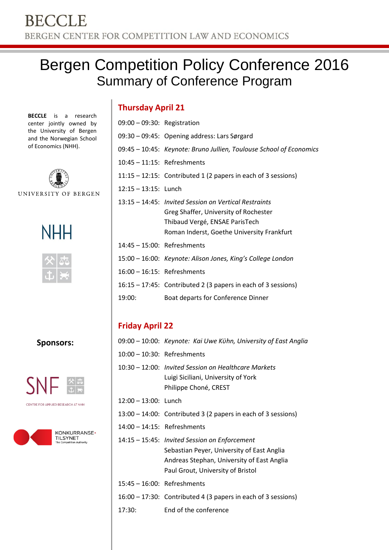# Bergen Competition Policy Conference 2016 Summary of Conference Program

**BECCLE** is a research center jointly owned by the University of Bergen and the Norwegian School of Economics (NHH).



UNIVERSITY OF BERGEN





**Sponsors:**



CENTRE FOR APPLIED RESEARCH AT NHH



| $09:00 - 09:30$ : Registration |                                                                     |
|--------------------------------|---------------------------------------------------------------------|
|                                | 09:30 - 09:45: Opening address: Lars Sørgard                        |
|                                | 09:45 - 10:45: Keynote: Bruno Jullien, Toulouse School of Economics |
| $10:45 - 11:15$ : Refreshments |                                                                     |
|                                | $11:15 - 12:15$ : Contributed 1 (2 papers in each of 3 sessions)    |
| 12:15 - 13:15: Lunch           |                                                                     |
|                                | 13:15 – 14:45: Invited Session on Vertical Restraints               |
|                                | Greg Shaffer, University of Rochester                               |
|                                | Thibaud Vergé, ENSAE ParisTech                                      |
|                                | Roman Inderst, Goethe University Frankfurt                          |
| $14:45 - 15:00$ : Refreshments |                                                                     |
|                                | 15:00 – 16:00: Keynote: Alison Jones, King's College London         |
| 16:00 - 16:15: Refreshments    |                                                                     |
|                                | $16:15 - 17:45$ : Contributed 2 (3 papers in each of 3 sessions)    |
| 19:00:                         | Boat departs for Conference Dinner                                  |

## **Friday April 22**

|                                | 09:00 – 10:00: Keynote: Kai Uwe Kühn, University of East Anglia                                                                                                                |  |
|--------------------------------|--------------------------------------------------------------------------------------------------------------------------------------------------------------------------------|--|
|                                | $10:00 - 10:30$ : Refreshments                                                                                                                                                 |  |
|                                | 10:30 – 12:00: Invited Session on Healthcare Markets<br>Luigi Siciliani, University of York<br>Philippe Choné, CREST                                                           |  |
| $12:00 - 13:00$ : Lunch        |                                                                                                                                                                                |  |
|                                | $13:00 - 14:00$ : Contributed 3 (2 papers in each of 3 sessions)                                                                                                               |  |
| $14:00 - 14:15$ : Refreshments |                                                                                                                                                                                |  |
|                                | 14:15 - 15:45: Invited Session on Enforcement<br>Sebastian Peyer, University of East Anglia<br>Andreas Stephan, University of East Anglia<br>Paul Grout, University of Bristol |  |
| $15:45 - 16:00$ : Refreshments |                                                                                                                                                                                |  |
|                                | $16:00 - 17:30$ : Contributed 4 (3 papers in each of 3 sessions)                                                                                                               |  |
| 17:30:                         | End of the conference                                                                                                                                                          |  |
|                                |                                                                                                                                                                                |  |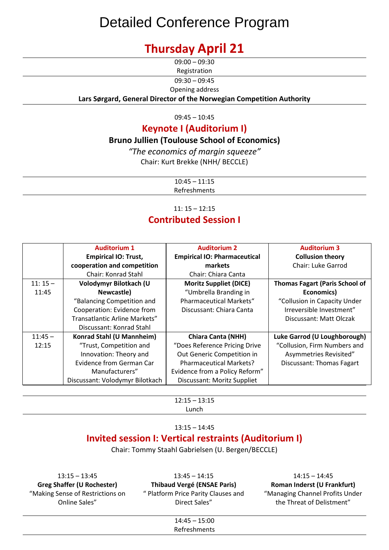# Detailed Conference Program

# **Thursday April 21**

 $09:00 - 09:30$ 

Registration

09:30 – 09:45

Opening address

**Lars Sørgard, General Director of the Norwegian Competition Authority**

 $09:45 - 10:45$ 

## **Keynote I (Auditorium I)**

### **Bruno Jullien (Toulouse School of Economics)**

*"The economics of margin squeeze"* Chair: Kurt Brekke (NHH/ BECCLE)

> $10:45 - 11:15$ Refreshments

### 11: 15 – 12:15 **Contributed Session I**

|           | <b>Auditorium 1</b><br><b>Empirical IO: Trust,</b><br>cooperation and competition | <b>Auditorium 2</b><br><b>Empirical IO: Pharmaceutical</b><br>markets | <b>Auditorium 3</b><br><b>Collusion theory</b><br><b>Chair: Luke Garrod</b> |
|-----------|-----------------------------------------------------------------------------------|-----------------------------------------------------------------------|-----------------------------------------------------------------------------|
|           | <b>Chair: Konrad Stahl</b>                                                        | <b>Chair: Chiara Canta</b>                                            |                                                                             |
| $11:15-$  | Volodymyr Bilotkach (U                                                            | <b>Moritz Suppliet (DICE)</b>                                         | <b>Thomas Fagart (Paris School of</b>                                       |
| 11:45     | Newcastle)                                                                        | "Umbrella Branding in                                                 | Economics)                                                                  |
|           | "Balancing Competition and                                                        | <b>Pharmaceutical Markets"</b>                                        | "Collusion in Capacity Under                                                |
|           | Cooperation: Evidence from                                                        | Discussant: Chiara Canta                                              | Irreversible Investment"                                                    |
|           | Transatlantic Arline Markets"                                                     |                                                                       | Discussant: Matt Olczak                                                     |
|           | Discussant: Konrad Stahl                                                          |                                                                       |                                                                             |
| $11:45 -$ | Konrad Stahl (U Mannheim)                                                         | <b>Chiara Canta (NHH)</b>                                             | Luke Garrod (U Loughborough)                                                |
| 12:15     | "Trust, Competition and                                                           | "Does Reference Pricing Drive                                         | "Collusion, Firm Numbers and                                                |
|           | Innovation: Theory and                                                            | Out Generic Competition in                                            | Asymmetries Revisited"                                                      |
|           | <b>Evidence from German Car</b>                                                   | <b>Pharmaceutical Markets?</b>                                        | <b>Discussant: Thomas Fagart</b>                                            |
|           | Manufacturers"                                                                    | Evidence from a Policy Reform"                                        |                                                                             |
|           | Discussant: Volodymyr Bilotkach                                                   | Discussant: Moritz Suppliet                                           |                                                                             |

12:15 – 13:15 Lunch

#### 13:15 – 14:45

## **Invited session I: Vertical restraints (Auditorium I)**

Chair: Tommy Staahl Gabrielsen (U. Bergen/BECCLE)

13:15 – 13:45 **Greg Shaffer (U Rochester)** "Making Sense of Restrictions on Online Sales"

13:45 – 14:15 **Thibaud Vergé (ENSAE Paris)** " Platform Price Parity Clauses and Direct Sales"

14:15 – 14:45 **Roman Inderst (U Frankfurt)** "Managing Channel Profits Under the Threat of Delistment"

14:45 – 15:00 Refreshments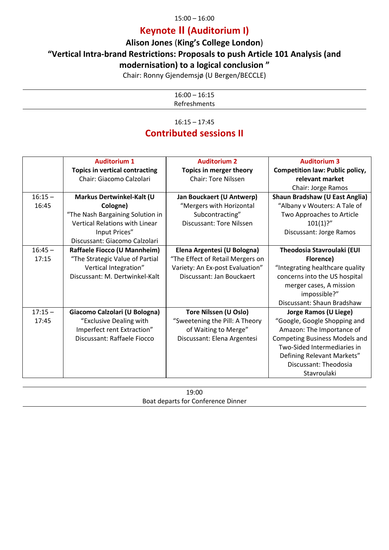#### 15:00 – 16:00

## **Keynote II (Auditorium I)**

## **Alison Jones** (**King's College London**)

### **"Vertical Intra-brand Restrictions: Proposals to push Article 101 Analysis (and**

### **modernisation) to a logical conclusion "**

Chair: Ronny Gjendemsjø (U Bergen/BECCLE)

16:00 – 16:15 Refreshments

16:15 – 17:45

## **Contributed sessions II**

|           | <b>Auditorium 1</b>                   | <b>Auditorium 2</b>              | <b>Auditorium 3</b>                    |
|-----------|---------------------------------------|----------------------------------|----------------------------------------|
|           | <b>Topics in vertical contracting</b> | Topics in merger theory          | <b>Competition law: Public policy,</b> |
|           | Chair: Giacomo Calzolari              | <b>Chair: Tore Nilssen</b>       | relevant market                        |
|           |                                       |                                  | Chair: Jorge Ramos                     |
| $16:15 -$ | Markus Dertwinkel-Kalt (U             | Jan Bouckaert (U Antwerp)        | <b>Shaun Bradshaw (U East Anglia)</b>  |
| 16:45     | Cologne)                              | "Mergers with Horizontal         | "Albany v Wouters: A Tale of           |
|           | "The Nash Bargaining Solution in      | Subcontracting"                  | Two Approaches to Article              |
|           | <b>Vertical Relations with Linear</b> | Discussant: Tore Nilssen         | 101(1)?''                              |
|           | Input Prices"                         |                                  | Discussant: Jorge Ramos                |
|           | Discussant: Giacomo Calzolari         |                                  |                                        |
| $16:45 -$ | Raffaele Fiocco (U Mannheim)          | Elena Argentesi (U Bologna)      | Theodosia Stavroulaki (EUI             |
| 17:15     | "The Strategic Value of Partial       | "The Effect of Retail Mergers on | Florence)                              |
|           | Vertical Integration"                 | Variety: An Ex-post Evaluation"  | "Integrating healthcare quality        |
|           | Discussant: M. Dertwinkel-Kalt        | Discussant: Jan Bouckaert        | concerns into the US hospital          |
|           |                                       |                                  | merger cases, A mission                |
|           |                                       |                                  | impossible?"                           |
|           |                                       |                                  | Discussant: Shaun Bradshaw             |
| $17:15 -$ | Giacomo Calzolari (U Bologna)         | Tore Nilssen (U Oslo)            | <b>Jorge Ramos (U Liege)</b>           |
| 17:45     | "Exclusive Dealing with               | "Sweetening the Pill: A Theory   | "Google, Google Shopping and           |
|           | Imperfect rent Extraction"            | of Waiting to Merge"             | Amazon: The Importance of              |
|           | Discussant: Raffaele Fiocco           | Discussant: Elena Argentesi      | <b>Competing Business Models and</b>   |
|           |                                       |                                  | Two-Sided Intermediaries in            |
|           |                                       |                                  | Defining Relevant Markets"             |
|           |                                       |                                  | Discussant: Theodosia                  |
|           |                                       |                                  | Stavroulaki                            |

19:00 Boat departs for Conference Dinner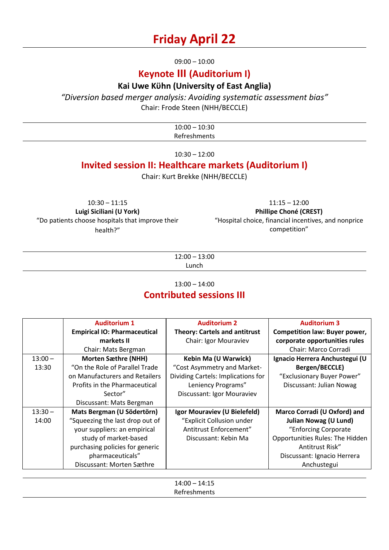## **Friday April 22**

09:00 – 10:00

## **Keynote III (Auditorium I)**

### **Kai Uwe Kϋhn (University of East Anglia)**

*"Diversion based merger analysis: Avoiding systematic assessment bias"*

Chair: Frode Steen (NHH/BECCLE)

| 10.20<br>0.00<br>้รษ<br>___<br>___ |  |
|------------------------------------|--|
| $P - 1$<br>treshments<br>ne        |  |

 $10:30 - 12:00$ 

## **Invited session II: Healthcare markets (Auditorium I)**

Chair: Kurt Brekke (NHH/BECCLE)

10:30 – 11:15 **Luigi Siciliani (U York)** "Do patients choose hospitals that improve their health?"

11:15 – 12:00 **Phillipe Choné (CREST)** "Hospital choice, financial incentives, and nonprice competition"

12:00 – 13:00 Lunch

#### 13:00 – 14:00

## **Contributed sessions III**

|           | <b>Auditorium 1</b>                 | <b>Auditorium 2</b>                  | <b>Auditorium 3</b>             |
|-----------|-------------------------------------|--------------------------------------|---------------------------------|
|           | <b>Empirical IO: Pharmaceutical</b> | <b>Theory: Cartels and antitrust</b> | Competition law: Buyer power,   |
|           | markets II                          | Chair: Igor Mouraviev                | corporate opportunities rules   |
|           | Chair: Mats Bergman                 |                                      | Chair: Marco Corradi            |
| $13:00 -$ | <b>Morten Sæthre (NHH)</b>          | Kebin Ma (U Warwick)                 | Ignacio Herrera Anchustegui (U  |
| 13:30     | "On the Role of Parallel Trade"     | "Cost Asymmetry and Market-          | Bergen/BECCLE)                  |
|           | on Manufacturers and Retailers      | Dividing Cartels: Implications for   | "Exclusionary Buyer Power"      |
|           | Profits in the Pharmaceutical       | Leniency Programs"                   | Discussant: Julian Nowag        |
|           | Sector"                             | Discussant: Igor Mouraviev           |                                 |
|           | Discussant: Mats Bergman            |                                      |                                 |
| $13:30 -$ | Mats Bergman (U Södertörn)          | Igor Mouraviev (U Bielefeld)         | Marco Corradi (U Oxford) and    |
| 14:00     | "Squeezing the last drop out of     | "Explicit Collusion under            | <b>Julian Nowag (U Lund)</b>    |
|           | your suppliers: an empirical        | Antitrust Enforcement"               | "Enforcing Corporate            |
|           | study of market-based               | Discussant: Kebin Ma                 | Opportunities Rules: The Hidden |
|           | purchasing policies for generic     |                                      | Antitrust Risk"                 |
|           | pharmaceuticals"                    |                                      | Discussant: Ignacio Herrera     |
|           | Discussant: Morten Sæthre           |                                      | Anchustegui                     |

14:00 – 14:15 Refreshments